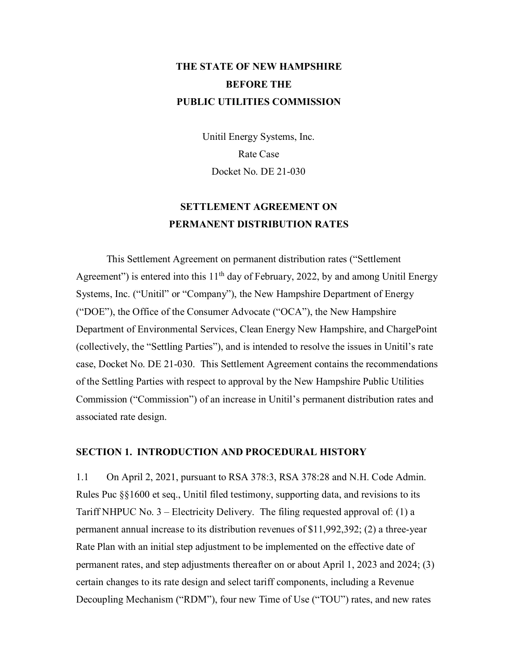# **THE STATE OF NEW HAMPSHIRE BEFORE THE PUBLIC UTILITIES COMMISSION**

Unitil Energy Systems, Inc. Rate Case Docket No. DE 21-030

## **SETTLEMENT AGREEMENT ON PERMANENT DISTRIBUTION RATES**

This Settlement Agreement on permanent distribution rates ("Settlement Agreement") is entered into this  $11<sup>th</sup>$  day of February, 2022, by and among Unitil Energy Systems, Inc. ("Unitil" or "Company"), the New Hampshire Department of Energy ("DOE"), the Office of the Consumer Advocate ("OCA"), the New Hampshire Department of Environmental Services, Clean Energy New Hampshire, and ChargePoint (collectively, the "Settling Parties"), and is intended to resolve the issues in Unitil's rate case, Docket No. DE 21-030. This Settlement Agreement contains the recommendations of the Settling Parties with respect to approval by the New Hampshire Public Utilities Commission ("Commission") of an increase in Unitil's permanent distribution rates and associated rate design.

## **SECTION 1. INTRODUCTION AND PROCEDURAL HISTORY**

1.1 On April 2, 2021, pursuant to RSA 378:3, RSA 378:28 and N.H. Code Admin. Rules Puc §§1600 et seq., Unitil filed testimony, supporting data, and revisions to its Tariff NHPUC No. 3 – Electricity Delivery. The filing requested approval of: (1) a permanent annual increase to its distribution revenues of \$11,992,392; (2) a three-year Rate Plan with an initial step adjustment to be implemented on the effective date of permanent rates, and step adjustments thereafter on or about April 1, 2023 and 2024; (3) certain changes to its rate design and select tariff components, including a Revenue Decoupling Mechanism ("RDM"), four new Time of Use ("TOU") rates, and new rates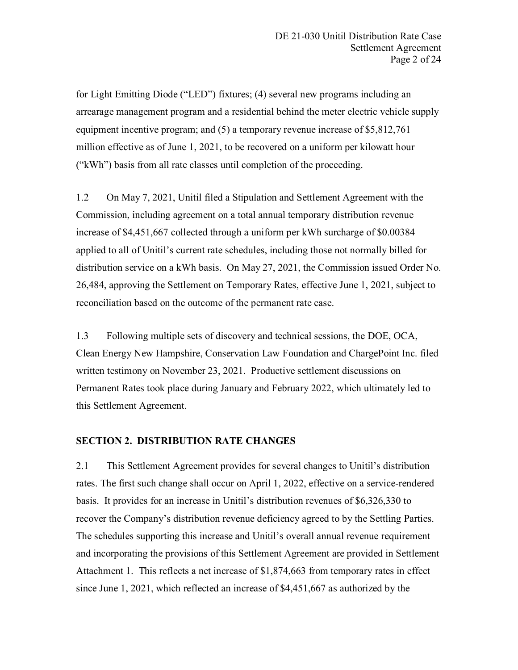for Light Emitting Diode ("LED") fixtures; (4) several new programs including an arrearage management program and a residential behind the meter electric vehicle supply equipment incentive program; and (5) a temporary revenue increase of \$5,812,761 million effective as of June 1, 2021, to be recovered on a uniform per kilowatt hour ("kWh") basis from all rate classes until completion of the proceeding.

1.2 On May 7, 2021, Unitil filed a Stipulation and Settlement Agreement with the Commission, including agreement on a total annual temporary distribution revenue increase of \$4,451,667 collected through a uniform per kWh surcharge of \$0.00384 applied to all of Unitil's current rate schedules, including those not normally billed for distribution service on a kWh basis. On May 27, 2021, the Commission issued Order No. 26,484, approving the Settlement on Temporary Rates, effective June 1, 2021, subject to reconciliation based on the outcome of the permanent rate case.

1.3 Following multiple sets of discovery and technical sessions, the DOE, OCA, Clean Energy New Hampshire, Conservation Law Foundation and ChargePoint Inc. filed written testimony on November 23, 2021. Productive settlement discussions on Permanent Rates took place during January and February 2022, which ultimately led to this Settlement Agreement.

### **SECTION 2. DISTRIBUTION RATE CHANGES**

2.1 This Settlement Agreement provides for several changes to Unitil's distribution rates. The first such change shall occur on April 1, 2022, effective on a service-rendered basis. It provides for an increase in Unitil's distribution revenues of \$6,326,330 to recover the Company's distribution revenue deficiency agreed to by the Settling Parties. The schedules supporting this increase and Unitil's overall annual revenue requirement and incorporating the provisions of this Settlement Agreement are provided in Settlement Attachment 1. This reflects a net increase of \$1,874,663 from temporary rates in effect since June 1, 2021, which reflected an increase of \$4,451,667 as authorized by the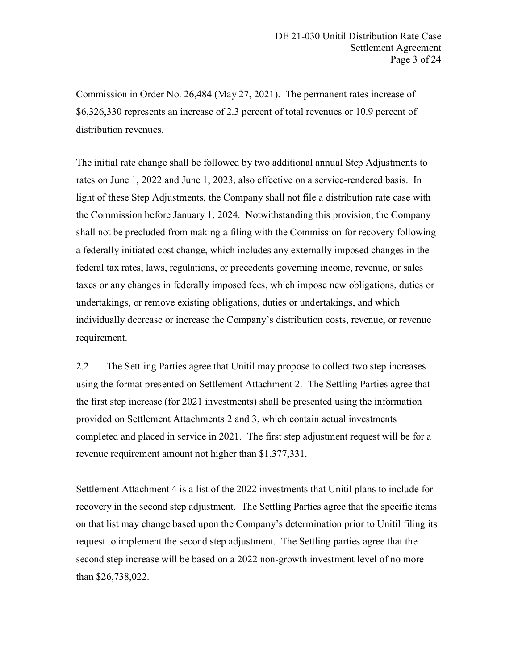Commission in Order No. 26,484 (May 27, 2021). The permanent rates increase of \$6,326,330 represents an increase of 2.3 percent of total revenues or 10.9 percent of distribution revenues.

The initial rate change shall be followed by two additional annual Step Adjustments to rates on June 1, 2022 and June 1, 2023, also effective on a service-rendered basis. In light of these Step Adjustments, the Company shall not file a distribution rate case with the Commission before January 1, 2024. Notwithstanding this provision, the Company shall not be precluded from making a filing with the Commission for recovery following a federally initiated cost change, which includes any externally imposed changes in the federal tax rates, laws, regulations, or precedents governing income, revenue, or sales taxes or any changes in federally imposed fees, which impose new obligations, duties or undertakings, or remove existing obligations, duties or undertakings, and which individually decrease or increase the Company's distribution costs, revenue, or revenue requirement.

2.2 The Settling Parties agree that Unitil may propose to collect two step increases using the format presented on Settlement Attachment 2. The Settling Parties agree that the first step increase (for 2021 investments) shall be presented using the information provided on Settlement Attachments 2 and 3, which contain actual investments completed and placed in service in 2021. The first step adjustment request will be for a revenue requirement amount not higher than \$1,377,331.

Settlement Attachment 4 is a list of the 2022 investments that Unitil plans to include for recovery in the second step adjustment. The Settling Parties agree that the specific items on that list may change based upon the Company's determination prior to Unitil filing its request to implement the second step adjustment. The Settling parties agree that the second step increase will be based on a 2022 non-growth investment level of no more than \$26,738,022.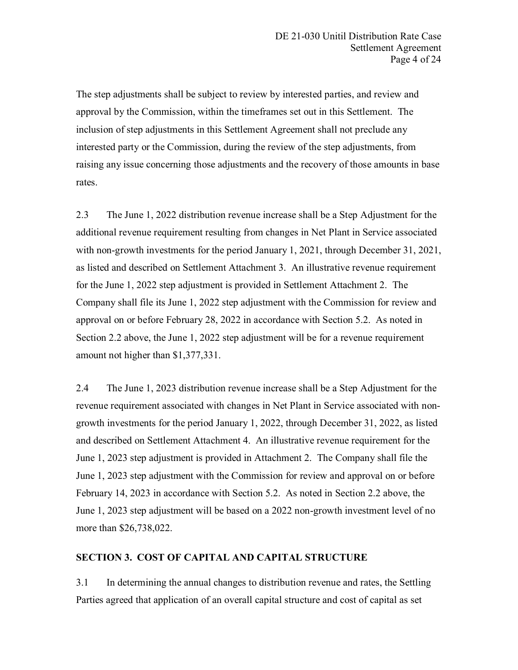The step adjustments shall be subject to review by interested parties, and review and approval by the Commission, within the timeframes set out in this Settlement. The inclusion of step adjustments in this Settlement Agreement shall not preclude any interested party or the Commission, during the review of the step adjustments, from raising any issue concerning those adjustments and the recovery of those amounts in base rates.

2.3 The June 1, 2022 distribution revenue increase shall be a Step Adjustment for the additional revenue requirement resulting from changes in Net Plant in Service associated with non-growth investments for the period January 1, 2021, through December 31, 2021, as listed and described on Settlement Attachment 3. An illustrative revenue requirement for the June 1, 2022 step adjustment is provided in Settlement Attachment 2. The Company shall file its June 1, 2022 step adjustment with the Commission for review and approval on or before February 28, 2022 in accordance with Section 5.2. As noted in Section 2.2 above, the June 1, 2022 step adjustment will be for a revenue requirement amount not higher than \$1,377,331.

2.4 The June 1, 2023 distribution revenue increase shall be a Step Adjustment for the revenue requirement associated with changes in Net Plant in Service associated with nongrowth investments for the period January 1, 2022, through December 31, 2022, as listed and described on Settlement Attachment 4. An illustrative revenue requirement for the June 1, 2023 step adjustment is provided in Attachment 2. The Company shall file the June 1, 2023 step adjustment with the Commission for review and approval on or before February 14, 2023 in accordance with Section 5.2. As noted in Section 2.2 above, the June 1, 2023 step adjustment will be based on a 2022 non-growth investment level of no more than \$26,738,022.

## **SECTION 3. COST OF CAPITAL AND CAPITAL STRUCTURE**

3.1 In determining the annual changes to distribution revenue and rates, the Settling Parties agreed that application of an overall capital structure and cost of capital as set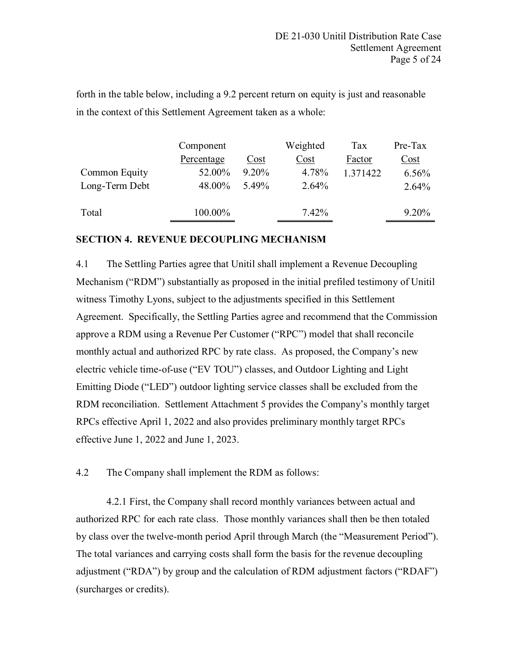forth in the table below, including a 9.2 percent return on equity is just and reasonable in the context of this Settlement Agreement taken as a whole:

|                | Component  |          | Weighted | Tax      | Pre-Tax                           |
|----------------|------------|----------|----------|----------|-----------------------------------|
|                | Percentage | Cost     | Cost     | Factor   | $\frac{\text{Cost}}{\text{Cost}}$ |
| Common Equity  | 52.00%     | $9.20\%$ | 4.78%    | 1.371422 | 6.56%                             |
| Long-Term Debt | 48.00%     | 5.49%    | 2.64%    |          | 2.64%                             |
|                |            |          |          |          |                                   |
| Total          | 100.00%    |          | 7.42%    |          | $9.20\%$                          |
|                |            |          |          |          |                                   |

## **SECTION 4. REVENUE DECOUPLING MECHANISM**

4.1 The Settling Parties agree that Unitil shall implement a Revenue Decoupling Mechanism ("RDM") substantially as proposed in the initial prefiled testimony of Unitil witness Timothy Lyons, subject to the adjustments specified in this Settlement Agreement. Specifically, the Settling Parties agree and recommend that the Commission approve a RDM using a Revenue Per Customer ("RPC") model that shall reconcile monthly actual and authorized RPC by rate class. As proposed, the Company's new electric vehicle time-of-use ("EV TOU") classes, and Outdoor Lighting and Light Emitting Diode ("LED") outdoor lighting service classes shall be excluded from the RDM reconciliation. Settlement Attachment 5 provides the Company's monthly target RPCs effective April 1, 2022 and also provides preliminary monthly target RPCs effective June 1, 2022 and June 1, 2023.

4.2 The Company shall implement the RDM as follows:

4.2.1 First, the Company shall record monthly variances between actual and authorized RPC for each rate class. Those monthly variances shall then be then totaled by class over the twelve-month period April through March (the "Measurement Period"). The total variances and carrying costs shall form the basis for the revenue decoupling adjustment ("RDA") by group and the calculation of RDM adjustment factors ("RDAF") (surcharges or credits).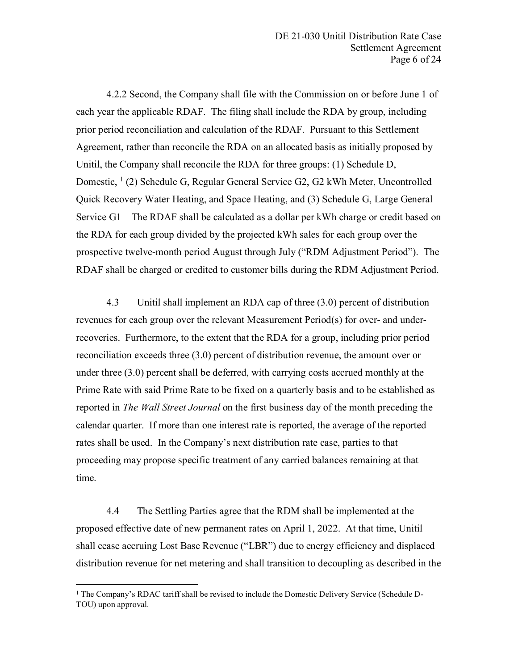4.2.2 Second, the Company shall file with the Commission on or before June 1 of each year the applicable RDAF. The filing shall include the RDA by group, including prior period reconciliation and calculation of the RDAF. Pursuant to this Settlement Agreement, rather than reconcile the RDA on an allocated basis as initially proposed by Unitil, the Company shall reconcile the RDA for three groups: (1) Schedule D, Domestic,  $(1)(2)$  $(1)(2)$  $(1)(2)$  Schedule G, Regular General Service G2, G2 kWh Meter, Uncontrolled Quick Recovery Water Heating, and Space Heating, and (3) Schedule G, Large General Service G1 The RDAF shall be calculated as a dollar per kWh charge or credit based on the RDA for each group divided by the projected kWh sales for each group over the prospective twelve-month period August through July ("RDM Adjustment Period"). The RDAF shall be charged or credited to customer bills during the RDM Adjustment Period.

4.3 Unitil shall implement an RDA cap of three (3.0) percent of distribution revenues for each group over the relevant Measurement Period(s) for over- and underrecoveries. Furthermore, to the extent that the RDA for a group, including prior period reconciliation exceeds three (3.0) percent of distribution revenue, the amount over or under three (3.0) percent shall be deferred, with carrying costs accrued monthly at the Prime Rate with said Prime Rate to be fixed on a quarterly basis and to be established as reported in *The Wall Street Journal* on the first business day of the month preceding the calendar quarter. If more than one interest rate is reported, the average of the reported rates shall be used. In the Company's next distribution rate case, parties to that proceeding may propose specific treatment of any carried balances remaining at that time.

4.4 The Settling Parties agree that the RDM shall be implemented at the proposed effective date of new permanent rates on April 1, 2022. At that time, Unitil shall cease accruing Lost Base Revenue ("LBR") due to energy efficiency and displaced distribution revenue for net metering and shall transition to decoupling as described in the

<span id="page-5-0"></span><sup>&</sup>lt;sup>1</sup> The Company's RDAC tariff shall be revised to include the Domestic Delivery Service (Schedule D-TOU) upon approval.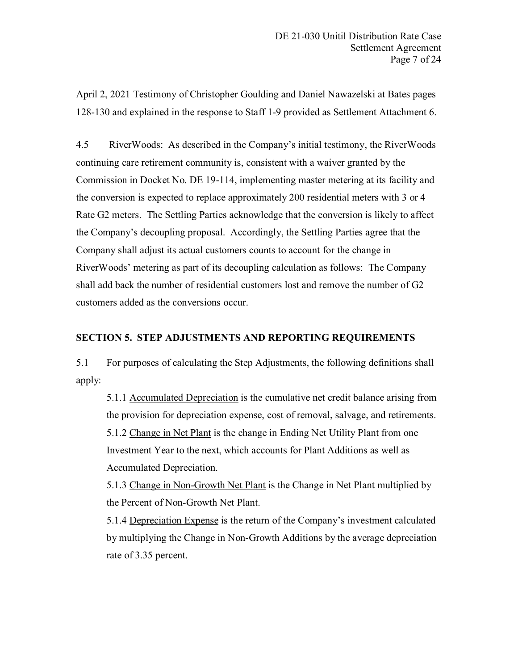April 2, 2021 Testimony of Christopher Goulding and Daniel Nawazelski at Bates pages 128-130 and explained in the response to Staff 1-9 provided as Settlement Attachment 6.

4.5 RiverWoods: As described in the Company's initial testimony, the RiverWoods continuing care retirement community is, consistent with a waiver granted by the Commission in Docket No. DE 19-114, implementing master metering at its facility and the conversion is expected to replace approximately 200 residential meters with 3 or 4 Rate G2 meters. The Settling Parties acknowledge that the conversion is likely to affect the Company's decoupling proposal. Accordingly, the Settling Parties agree that the Company shall adjust its actual customers counts to account for the change in RiverWoods' metering as part of its decoupling calculation as follows: The Company shall add back the number of residential customers lost and remove the number of G2 customers added as the conversions occur.

## **SECTION 5. STEP ADJUSTMENTS AND REPORTING REQUIREMENTS**

5.1 For purposes of calculating the Step Adjustments, the following definitions shall apply:

5.1.1 Accumulated Depreciation is the cumulative net credit balance arising from the provision for depreciation expense, cost of removal, salvage, and retirements. 5.1.2 Change in Net Plant is the change in Ending Net Utility Plant from one Investment Year to the next, which accounts for Plant Additions as well as Accumulated Depreciation.

5.1.3 Change in Non-Growth Net Plant is the Change in Net Plant multiplied by the Percent of Non-Growth Net Plant.

5.1.4 Depreciation Expense is the return of the Company's investment calculated by multiplying the Change in Non-Growth Additions by the average depreciation rate of 3.35 percent.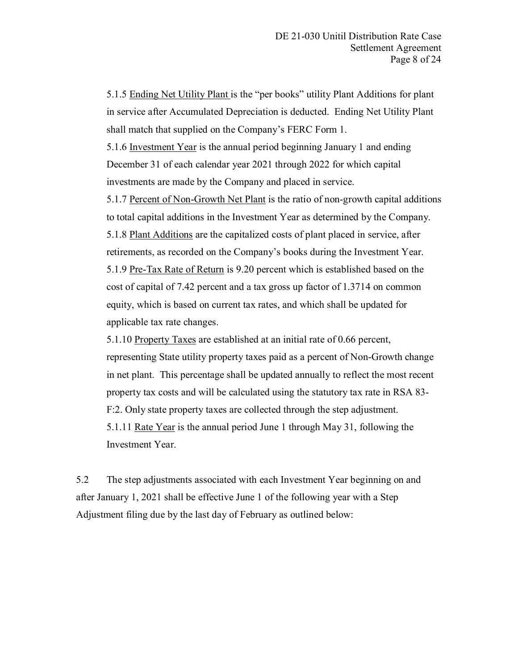5.1.5 Ending Net Utility Plant is the "per books" utility Plant Additions for plant in service after Accumulated Depreciation is deducted. Ending Net Utility Plant shall match that supplied on the Company's FERC Form 1.

5.1.6 Investment Year is the annual period beginning January 1 and ending December 31 of each calendar year 2021 through 2022 for which capital investments are made by the Company and placed in service.

5.1.7 Percent of Non-Growth Net Plant is the ratio of non-growth capital additions to total capital additions in the Investment Year as determined by the Company. 5.1.8 Plant Additions are the capitalized costs of plant placed in service, after retirements, as recorded on the Company's books during the Investment Year. 5.1.9 Pre-Tax Rate of Return is 9.20 percent which is established based on the cost of capital of 7.42 percent and a tax gross up factor of 1.3714 on common equity, which is based on current tax rates, and which shall be updated for applicable tax rate changes.

5.1.10 Property Taxes are established at an initial rate of 0.66 percent, representing State utility property taxes paid as a percent of Non-Growth change in net plant. This percentage shall be updated annually to reflect the most recent property tax costs and will be calculated using the statutory tax rate in RSA 83- F:2. Only state property taxes are collected through the step adjustment. 5.1.11 Rate Year is the annual period June 1 through May 31, following the Investment Year.

5.2 The step adjustments associated with each Investment Year beginning on and after January 1, 2021 shall be effective June 1 of the following year with a Step Adjustment filing due by the last day of February as outlined below: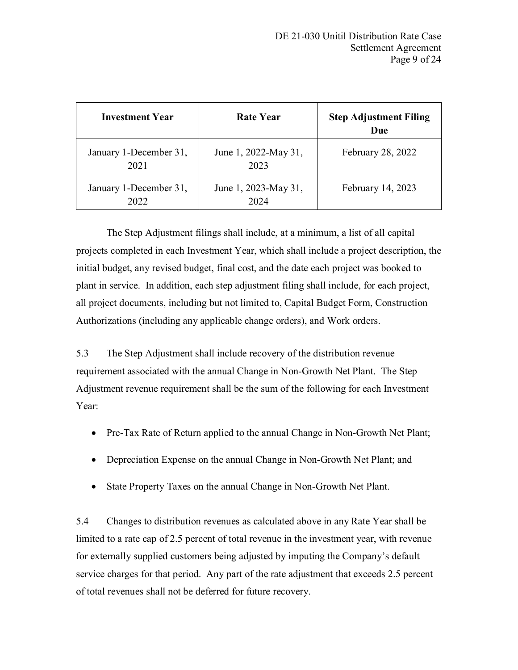| <b>Investment Year</b>         | Rate Year                    | <b>Step Adjustment Filing</b><br>Due |  |
|--------------------------------|------------------------------|--------------------------------------|--|
| January 1-December 31,<br>2021 | June 1, 2022-May 31,<br>2023 | February 28, 2022                    |  |
| January 1-December 31,<br>2022 | June 1, 2023-May 31,<br>2024 | February 14, 2023                    |  |

The Step Adjustment filings shall include, at a minimum, a list of all capital projects completed in each Investment Year, which shall include a project description, the initial budget, any revised budget, final cost, and the date each project was booked to plant in service. In addition, each step adjustment filing shall include, for each project, all project documents, including but not limited to, Capital Budget Form, Construction Authorizations (including any applicable change orders), and Work orders.

5.3 The Step Adjustment shall include recovery of the distribution revenue requirement associated with the annual Change in Non-Growth Net Plant. The Step Adjustment revenue requirement shall be the sum of the following for each Investment Year:

- Pre-Tax Rate of Return applied to the annual Change in Non-Growth Net Plant;
- Depreciation Expense on the annual Change in Non-Growth Net Plant; and
- State Property Taxes on the annual Change in Non-Growth Net Plant.

5.4 Changes to distribution revenues as calculated above in any Rate Year shall be limited to a rate cap of 2.5 percent of total revenue in the investment year, with revenue for externally supplied customers being adjusted by imputing the Company's default service charges for that period. Any part of the rate adjustment that exceeds 2.5 percent of total revenues shall not be deferred for future recovery.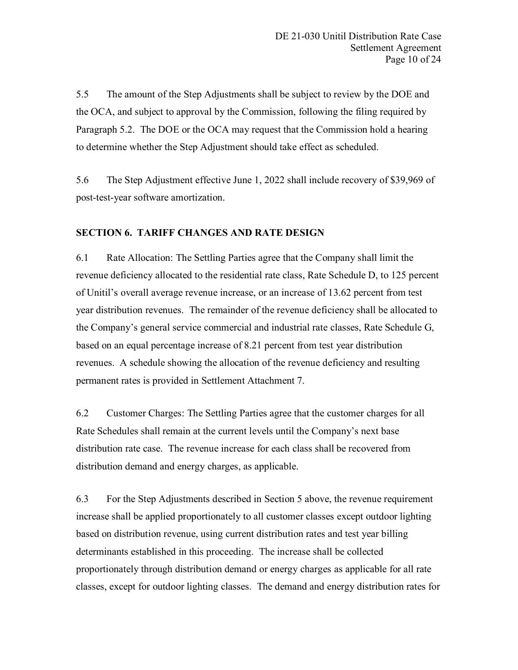5.5 The amount of the Step Adjustments shall be subject to review by the DOE and the OCA, and subject to approval by the Commission, following the filing required by Paragraph 5.2. The DOE or the OCA may request that the Commission hold a hearing to determine whether the Step Adjustment should take effect as scheduled.

5.6 The Step Adjustment effective June 1, 2022 shall include recovery of \$39,969 of post-test-year software amortization.

## **SECTION 6. TARIFF CHANGES AND RATE DESIGN**

6.1 Rate Allocation: The Settling Parties agree that the Company shall limit the revenue deficiency allocated to the residential rate class, Rate Schedule D, to 125 percent of Unitil's overall average revenue increase, or an increase of 13.62 percent from test year distribution revenues. The remainder of the revenue deficiency shall be allocated to the Company's general service commercial and industrial rate classes, Rate Schedule G, based on an equal percentage increase of 8.21 percent from test year distribution revenues. A schedule showing the allocation of the revenue deficiency and resulting permanent rates is provided in Settlement Attachment 7.

6.2 Customer Charges: The Settling Parties agree that the customer charges for all Rate Schedules shall remain at the current levels until the Company's next base distribution rate case. The revenue increase for each class shall be recovered from distribution demand and energy charges, as applicable.

6.3 For the Step Adjustments described in Section 5 above, the revenue requirement increase shall be applied proportionately to all customer classes except outdoor lighting based on distribution revenue, using current distribution rates and test year billing determinants established in this proceeding. The increase shall be collected proportionately through distribution demand or energy charges as applicable for all rate classes, except for outdoor lighting classes. The demand and energy distribution rates for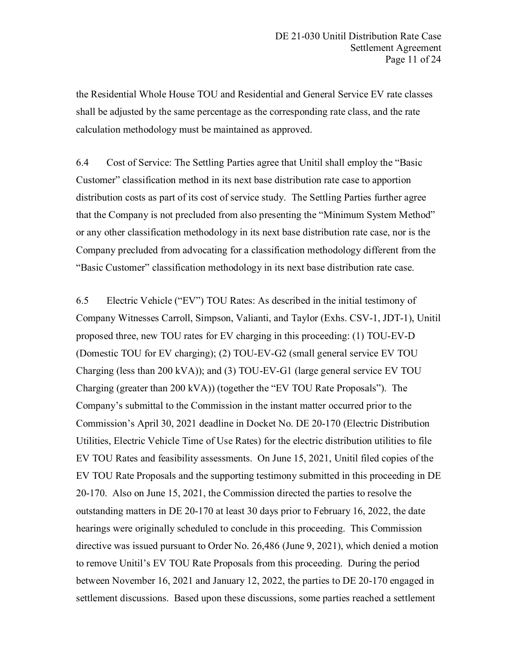the Residential Whole House TOU and Residential and General Service EV rate classes shall be adjusted by the same percentage as the corresponding rate class, and the rate calculation methodology must be maintained as approved.

6.4 Cost of Service: The Settling Parties agree that Unitil shall employ the "Basic Customer" classification method in its next base distribution rate case to apportion distribution costs as part of its cost of service study. The Settling Parties further agree that the Company is not precluded from also presenting the "Minimum System Method" or any other classification methodology in its next base distribution rate case, nor is the Company precluded from advocating for a classification methodology different from the "Basic Customer" classification methodology in its next base distribution rate case.

6.5 Electric Vehicle ("EV") TOU Rates: As described in the initial testimony of Company Witnesses Carroll, Simpson, Valianti, and Taylor (Exhs. CSV-1, JDT-1), Unitil proposed three, new TOU rates for EV charging in this proceeding: (1) TOU-EV-D (Domestic TOU for EV charging); (2) TOU-EV-G2 (small general service EV TOU Charging (less than 200 kVA)); and (3) TOU-EV-G1 (large general service EV TOU Charging (greater than 200 kVA)) (together the "EV TOU Rate Proposals"). The Company's submittal to the Commission in the instant matter occurred prior to the Commission's April 30, 2021 deadline in Docket No. DE 20-170 (Electric Distribution Utilities, Electric Vehicle Time of Use Rates) for the electric distribution utilities to file EV TOU Rates and feasibility assessments. On June 15, 2021, Unitil filed copies of the EV TOU Rate Proposals and the supporting testimony submitted in this proceeding in DE 20-170. Also on June 15, 2021, the Commission directed the parties to resolve the outstanding matters in DE 20-170 at least 30 days prior to February 16, 2022, the date hearings were originally scheduled to conclude in this proceeding. This Commission directive was issued pursuant to Order No. 26,486 (June 9, 2021), which denied a motion to remove Unitil's EV TOU Rate Proposals from this proceeding. During the period between November 16, 2021 and January 12, 2022, the parties to DE 20-170 engaged in settlement discussions. Based upon these discussions, some parties reached a settlement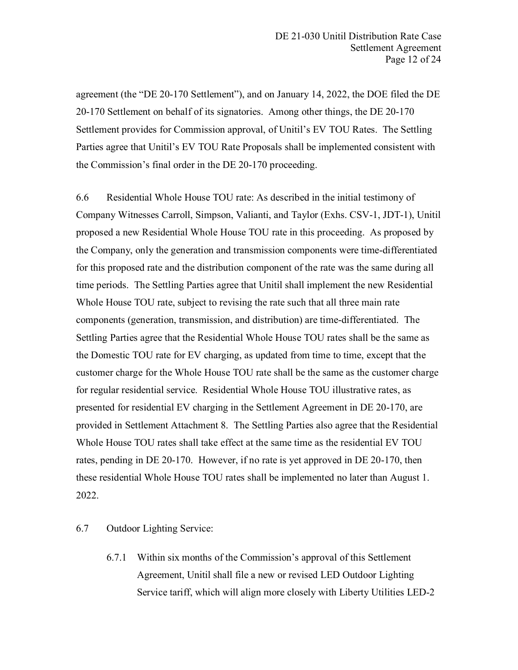agreement (the "DE 20-170 Settlement"), and on January 14, 2022, the DOE filed the DE 20-170 Settlement on behalf of its signatories. Among other things, the DE 20-170 Settlement provides for Commission approval, of Unitil's EV TOU Rates. The Settling Parties agree that Unitil's EV TOU Rate Proposals shall be implemented consistent with the Commission's final order in the DE 20-170 proceeding.

6.6 Residential Whole House TOU rate: As described in the initial testimony of Company Witnesses Carroll, Simpson, Valianti, and Taylor (Exhs. CSV-1, JDT-1), Unitil proposed a new Residential Whole House TOU rate in this proceeding. As proposed by the Company, only the generation and transmission components were time-differentiated for this proposed rate and the distribution component of the rate was the same during all time periods. The Settling Parties agree that Unitil shall implement the new Residential Whole House TOU rate, subject to revising the rate such that all three main rate components (generation, transmission, and distribution) are time-differentiated. The Settling Parties agree that the Residential Whole House TOU rates shall be the same as the Domestic TOU rate for EV charging, as updated from time to time, except that the customer charge for the Whole House TOU rate shall be the same as the customer charge for regular residential service. Residential Whole House TOU illustrative rates, as presented for residential EV charging in the Settlement Agreement in DE 20-170, are provided in Settlement Attachment 8. The Settling Parties also agree that the Residential Whole House TOU rates shall take effect at the same time as the residential EV TOU rates, pending in DE 20-170. However, if no rate is yet approved in DE 20-170, then these residential Whole House TOU rates shall be implemented no later than August 1. 2022.

6.7 Outdoor Lighting Service:

6.7.1 Within six months of the Commission's approval of this Settlement Agreement, Unitil shall file a new or revised LED Outdoor Lighting Service tariff, which will align more closely with Liberty Utilities LED-2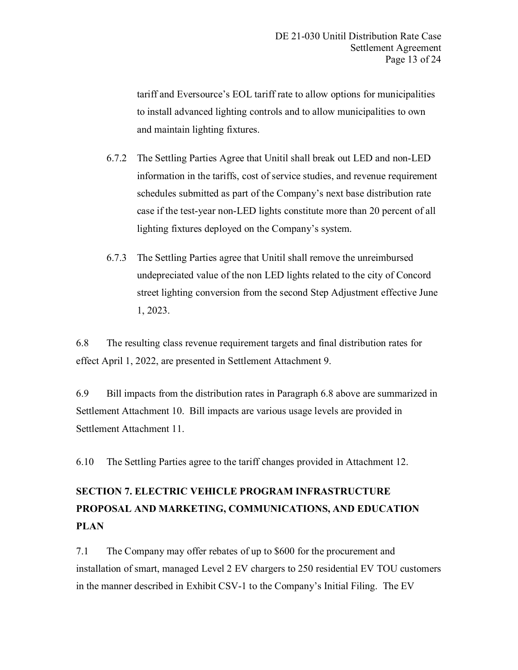tariff and Eversource's EOL tariff rate to allow options for municipalities to install advanced lighting controls and to allow municipalities to own and maintain lighting fixtures.

- 6.7.2 The Settling Parties Agree that Unitil shall break out LED and non-LED information in the tariffs, cost of service studies, and revenue requirement schedules submitted as part of the Company's next base distribution rate case if the test-year non-LED lights constitute more than 20 percent of all lighting fixtures deployed on the Company's system.
- 6.7.3 The Settling Parties agree that Unitil shall remove the unreimbursed undepreciated value of the non LED lights related to the city of Concord street lighting conversion from the second Step Adjustment effective June 1, 2023.

6.8 The resulting class revenue requirement targets and final distribution rates for effect April 1, 2022, are presented in Settlement Attachment 9.

6.9 Bill impacts from the distribution rates in Paragraph 6.8 above are summarized in Settlement Attachment 10. Bill impacts are various usage levels are provided in Settlement Attachment 11.

6.10 The Settling Parties agree to the tariff changes provided in Attachment 12.

# **SECTION 7. ELECTRIC VEHICLE PROGRAM INFRASTRUCTURE PROPOSAL AND MARKETING, COMMUNICATIONS, AND EDUCATION PLAN**

7.1 The Company may offer rebates of up to \$600 for the procurement and installation of smart, managed Level 2 EV chargers to 250 residential EV TOU customers in the manner described in Exhibit CSV-1 to the Company's Initial Filing. The EV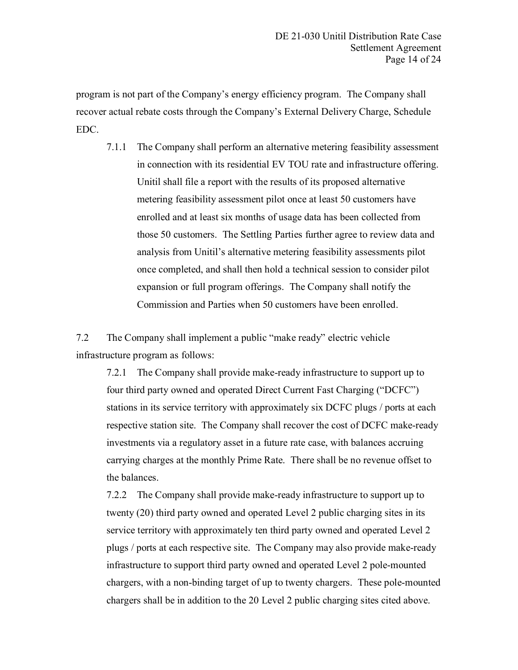program is not part of the Company's energy efficiency program. The Company shall recover actual rebate costs through the Company's External Delivery Charge, Schedule EDC.

7.1.1 The Company shall perform an alternative metering feasibility assessment in connection with its residential EV TOU rate and infrastructure offering. Unitil shall file a report with the results of its proposed alternative metering feasibility assessment pilot once at least 50 customers have enrolled and at least six months of usage data has been collected from those 50 customers. The Settling Parties further agree to review data and analysis from Unitil's alternative metering feasibility assessments pilot once completed, and shall then hold a technical session to consider pilot expansion or full program offerings. The Company shall notify the Commission and Parties when 50 customers have been enrolled.

7.2 The Company shall implement a public "make ready" electric vehicle infrastructure program as follows:

7.2.1 The Company shall provide make-ready infrastructure to support up to four third party owned and operated Direct Current Fast Charging ("DCFC") stations in its service territory with approximately six DCFC plugs / ports at each respective station site. The Company shall recover the cost of DCFC make-ready investments via a regulatory asset in a future rate case, with balances accruing carrying charges at the monthly Prime Rate. There shall be no revenue offset to the balances.

7.2.2 The Company shall provide make-ready infrastructure to support up to twenty (20) third party owned and operated Level 2 public charging sites in its service territory with approximately ten third party owned and operated Level 2 plugs / ports at each respective site. The Company may also provide make-ready infrastructure to support third party owned and operated Level 2 pole-mounted chargers, with a non-binding target of up to twenty chargers. These pole-mounted chargers shall be in addition to the 20 Level 2 public charging sites cited above.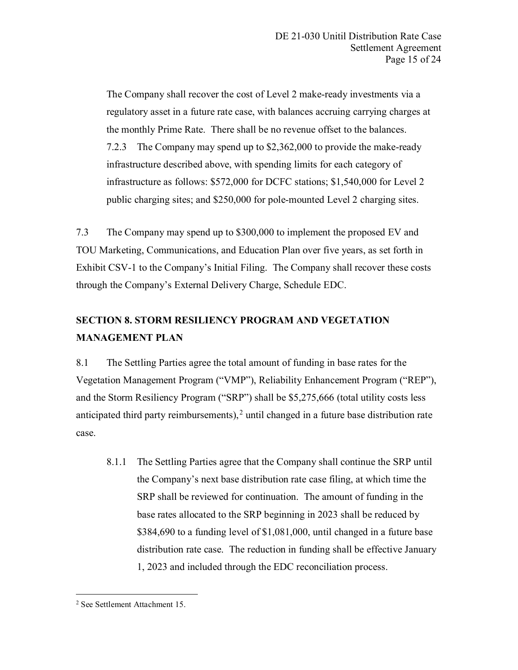The Company shall recover the cost of Level 2 make-ready investments via a regulatory asset in a future rate case, with balances accruing carrying charges at the monthly Prime Rate. There shall be no revenue offset to the balances. 7.2.3 The Company may spend up to \$2,362,000 to provide the make-ready infrastructure described above, with spending limits for each category of infrastructure as follows: \$572,000 for DCFC stations; \$1,540,000 for Level 2 public charging sites; and \$250,000 for pole-mounted Level 2 charging sites.

7.3 The Company may spend up to \$300,000 to implement the proposed EV and TOU Marketing, Communications, and Education Plan over five years, as set forth in Exhibit CSV-1 to the Company's Initial Filing. The Company shall recover these costs through the Company's External Delivery Charge, Schedule EDC.

## **SECTION 8. STORM RESILIENCY PROGRAM AND VEGETATION MANAGEMENT PLAN**

8.1 The Settling Parties agree the total amount of funding in base rates for the Vegetation Management Program ("VMP"), Reliability Enhancement Program ("REP"), and the Storm Resiliency Program ("SRP") shall be \$5,275,666 (total utility costs less anticipated third party reimbursements), $2$  until changed in a future base distribution rate case.

8.1.1 The Settling Parties agree that the Company shall continue the SRP until the Company's next base distribution rate case filing, at which time the SRP shall be reviewed for continuation. The amount of funding in the base rates allocated to the SRP beginning in 2023 shall be reduced by \$384,690 to a funding level of \$1,081,000, until changed in a future base distribution rate case. The reduction in funding shall be effective January 1, 2023 and included through the EDC reconciliation process.

<span id="page-14-0"></span> <sup>2</sup> See Settlement Attachment 15.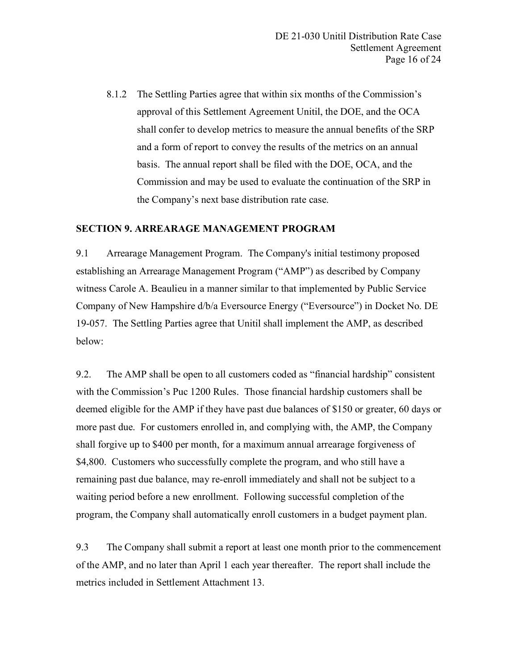8.1.2 The Settling Parties agree that within six months of the Commission's approval of this Settlement Agreement Unitil, the DOE, and the OCA shall confer to develop metrics to measure the annual benefits of the SRP and a form of report to convey the results of the metrics on an annual basis. The annual report shall be filed with the DOE, OCA, and the Commission and may be used to evaluate the continuation of the SRP in the Company's next base distribution rate case.

### **SECTION 9. ARREARAGE MANAGEMENT PROGRAM**

9.1 Arrearage Management Program. The Company's initial testimony proposed establishing an Arrearage Management Program ("AMP") as described by Company witness Carole A. Beaulieu in a manner similar to that implemented by Public Service Company of New Hampshire d/b/a Eversource Energy ("Eversource") in Docket No. DE 19-057. The Settling Parties agree that Unitil shall implement the AMP, as described below:

9.2. The AMP shall be open to all customers coded as "financial hardship" consistent with the Commission's Puc 1200 Rules. Those financial hardship customers shall be deemed eligible for the AMP if they have past due balances of \$150 or greater, 60 days or more past due. For customers enrolled in, and complying with, the AMP, the Company shall forgive up to \$400 per month, for a maximum annual arrearage forgiveness of \$4,800. Customers who successfully complete the program, and who still have a remaining past due balance, may re-enroll immediately and shall not be subject to a waiting period before a new enrollment. Following successful completion of the program, the Company shall automatically enroll customers in a budget payment plan.

9.3 The Company shall submit a report at least one month prior to the commencement of the AMP, and no later than April 1 each year thereafter. The report shall include the metrics included in Settlement Attachment 13.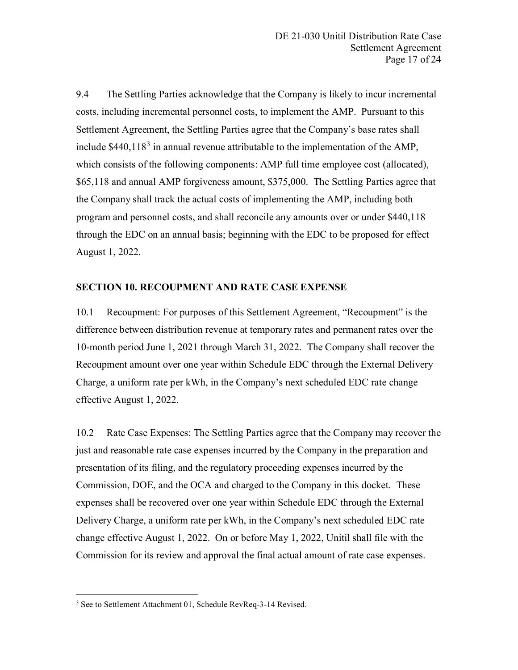9.4 The Settling Parties acknowledge that the Company is likely to incur incremental costs, including incremental personnel costs, to implement the AMP. Pursuant to this Settlement Agreement, the Settling Parties agree that the Company's base rates shall include  $$440.118<sup>3</sup>$  $$440.118<sup>3</sup>$  $$440.118<sup>3</sup>$  in annual revenue attributable to the implementation of the AMP, which consists of the following components: AMP full time employee cost (allocated), \$65,118 and annual AMP forgiveness amount, \$375,000. The Settling Parties agree that the Company shall track the actual costs of implementing the AMP, including both program and personnel costs, and shall reconcile any amounts over or under \$440,118 through the EDC on an annual basis; beginning with the EDC to be proposed for effect August 1, 2022.

### **SECTION 10. RECOUPMENT AND RATE CASE EXPENSE**

10.1 Recoupment: For purposes of this Settlement Agreement, "Recoupment" is the difference between distribution revenue at temporary rates and permanent rates over the 10-month period June 1, 2021 through March 31, 2022. The Company shall recover the Recoupment amount over one year within Schedule EDC through the External Delivery Charge, a uniform rate per kWh, in the Company's next scheduled EDC rate change effective August 1, 2022.

10.2 Rate Case Expenses: The Settling Parties agree that the Company may recover the just and reasonable rate case expenses incurred by the Company in the preparation and presentation of its filing, and the regulatory proceeding expenses incurred by the Commission, DOE, and the OCA and charged to the Company in this docket. These expenses shall be recovered over one year within Schedule EDC through the External Delivery Charge, a uniform rate per kWh, in the Company's next scheduled EDC rate change effective August 1, 2022. On or before May 1, 2022, Unitil shall file with the Commission for its review and approval the final actual amount of rate case expenses.

<span id="page-16-0"></span> <sup>3</sup> See to Settlement Attachment 01, Schedule RevReq-3-14 Revised.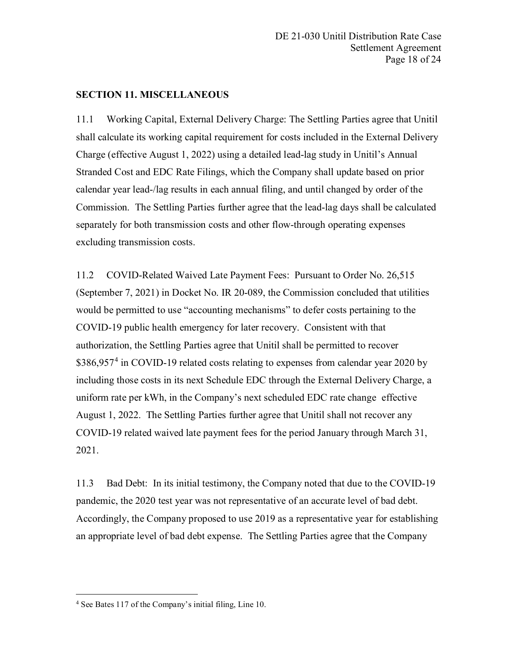## **SECTION 11. MISCELLANEOUS**

11.1 Working Capital, External Delivery Charge: The Settling Parties agree that Unitil shall calculate its working capital requirement for costs included in the External Delivery Charge (effective August 1, 2022) using a detailed lead-lag study in Unitil's Annual Stranded Cost and EDC Rate Filings, which the Company shall update based on prior calendar year lead-/lag results in each annual filing, and until changed by order of the Commission. The Settling Parties further agree that the lead-lag days shall be calculated separately for both transmission costs and other flow-through operating expenses excluding transmission costs.

11.2 COVID-Related Waived Late Payment Fees: Pursuant to Order No. 26,515 (September 7, 2021) in Docket No. IR 20-089, the Commission concluded that utilities would be permitted to use "accounting mechanisms" to defer costs pertaining to the COVID-19 public health emergency for later recovery. Consistent with that authorization, the Settling Parties agree that Unitil shall be permitted to recover \$386,957<sup>[4](#page-17-0)</sup> in COVID-19 related costs relating to expenses from calendar year 2020 by including those costs in its next Schedule EDC through the External Delivery Charge, a uniform rate per kWh, in the Company's next scheduled EDC rate change effective August 1, 2022. The Settling Parties further agree that Unitil shall not recover any COVID-19 related waived late payment fees for the period January through March 31, 2021.

11.3 Bad Debt: In its initial testimony, the Company noted that due to the COVID-19 pandemic, the 2020 test year was not representative of an accurate level of bad debt. Accordingly, the Company proposed to use 2019 as a representative year for establishing an appropriate level of bad debt expense. The Settling Parties agree that the Company

<span id="page-17-0"></span> <sup>4</sup> See Bates 117 of the Company's initial filing, Line 10.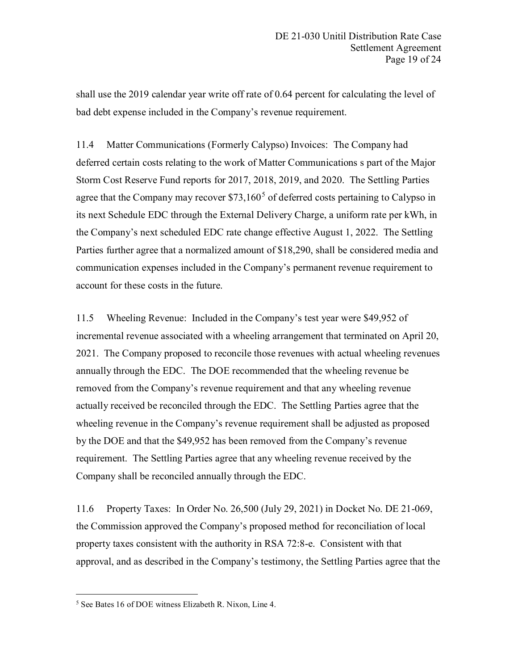shall use the 2019 calendar year write off rate of 0.64 percent for calculating the level of bad debt expense included in the Company's revenue requirement.

11.4 Matter Communications (Formerly Calypso) Invoices: The Company had deferred certain costs relating to the work of Matter Communications s part of the Major Storm Cost Reserve Fund reports for 2017, 2018, 2019, and 2020. The Settling Parties agree that the Company may recover  $$73,160<sup>5</sup>$  $$73,160<sup>5</sup>$  $$73,160<sup>5</sup>$  of deferred costs pertaining to Calypso in its next Schedule EDC through the External Delivery Charge, a uniform rate per kWh, in the Company's next scheduled EDC rate change effective August 1, 2022. The Settling Parties further agree that a normalized amount of \$18,290, shall be considered media and communication expenses included in the Company's permanent revenue requirement to account for these costs in the future.

11.5 Wheeling Revenue: Included in the Company's test year were \$49,952 of incremental revenue associated with a wheeling arrangement that terminated on April 20, 2021. The Company proposed to reconcile those revenues with actual wheeling revenues annually through the EDC. The DOE recommended that the wheeling revenue be removed from the Company's revenue requirement and that any wheeling revenue actually received be reconciled through the EDC. The Settling Parties agree that the wheeling revenue in the Company's revenue requirement shall be adjusted as proposed by the DOE and that the \$49,952 has been removed from the Company's revenue requirement. The Settling Parties agree that any wheeling revenue received by the Company shall be reconciled annually through the EDC.

11.6 Property Taxes: In Order No. 26,500 (July 29, 2021) in Docket No. DE 21-069, the Commission approved the Company's proposed method for reconciliation of local property taxes consistent with the authority in RSA 72:8-e. Consistent with that approval, and as described in the Company's testimony, the Settling Parties agree that the

<span id="page-18-0"></span> <sup>5</sup> See Bates 16 of DOE witness Elizabeth R. Nixon, Line 4.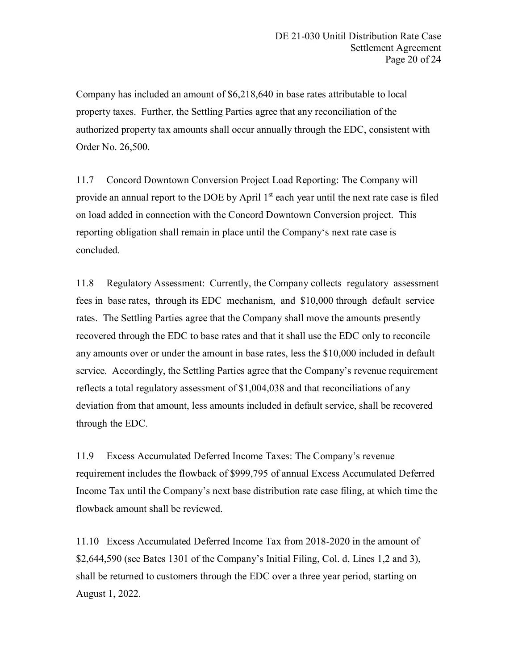Company has included an amount of \$6,218,640 in base rates attributable to local property taxes. Further, the Settling Parties agree that any reconciliation of the authorized property tax amounts shall occur annually through the EDC, consistent with Order No. 26,500.

11.7 Concord Downtown Conversion Project Load Reporting: The Company will provide an annual report to the DOE by April  $1<sup>st</sup>$  each year until the next rate case is filed on load added in connection with the Concord Downtown Conversion project. This reporting obligation shall remain in place until the Company's next rate case is concluded.

11.8 Regulatory Assessment: Currently, the Company collects regulatory assessment fees in base rates, through its EDC mechanism, and \$10,000 through default service rates. The Settling Parties agree that the Company shall move the amounts presently recovered through the EDC to base rates and that it shall use the EDC only to reconcile any amounts over or under the amount in base rates, less the \$10,000 included in default service. Accordingly, the Settling Parties agree that the Company's revenue requirement reflects a total regulatory assessment of \$1,004,038 and that reconciliations of any deviation from that amount, less amounts included in default service, shall be recovered through the EDC.

11.9 Excess Accumulated Deferred Income Taxes: The Company's revenue requirement includes the flowback of \$999,795 of annual Excess Accumulated Deferred Income Tax until the Company's next base distribution rate case filing, at which time the flowback amount shall be reviewed.

11.10 Excess Accumulated Deferred Income Tax from 2018-2020 in the amount of \$2,644,590 (see Bates 1301 of the Company's Initial Filing, Col. d, Lines 1,2 and 3), shall be returned to customers through the EDC over a three year period, starting on August 1, 2022.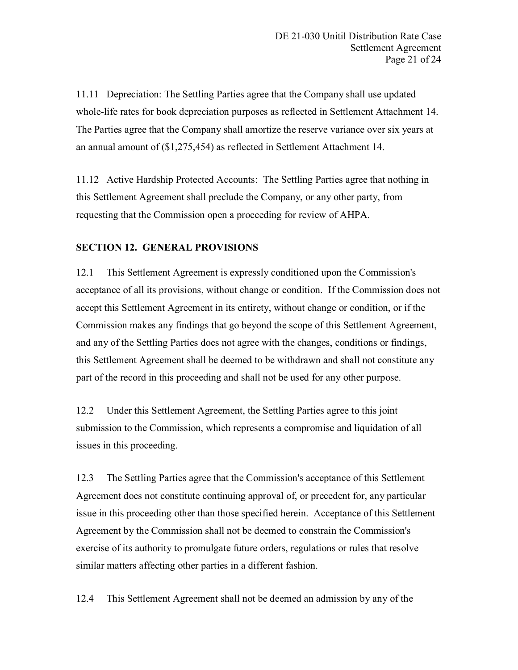11.11 Depreciation: The Settling Parties agree that the Company shall use updated whole-life rates for book depreciation purposes as reflected in Settlement Attachment 14. The Parties agree that the Company shall amortize the reserve variance over six years at an annual amount of (\$1,275,454) as reflected in Settlement Attachment 14.

11.12 Active Hardship Protected Accounts: The Settling Parties agree that nothing in this Settlement Agreement shall preclude the Company, or any other party, from requesting that the Commission open a proceeding for review of AHPA.

## **SECTION 12. GENERAL PROVISIONS**

12.1 This Settlement Agreement is expressly conditioned upon the Commission's acceptance of all its provisions, without change or condition. If the Commission does not accept this Settlement Agreement in its entirety, without change or condition, or if the Commission makes any findings that go beyond the scope of this Settlement Agreement, and any of the Settling Parties does not agree with the changes, conditions or findings, this Settlement Agreement shall be deemed to be withdrawn and shall not constitute any part of the record in this proceeding and shall not be used for any other purpose.

12.2 Under this Settlement Agreement, the Settling Parties agree to this joint submission to the Commission, which represents a compromise and liquidation of all issues in this proceeding.

12.3 The Settling Parties agree that the Commission's acceptance of this Settlement Agreement does not constitute continuing approval of, or precedent for, any particular issue in this proceeding other than those specified herein. Acceptance of this Settlement Agreement by the Commission shall not be deemed to constrain the Commission's exercise of its authority to promulgate future orders, regulations or rules that resolve similar matters affecting other parties in a different fashion.

12.4 This Settlement Agreement shall not be deemed an admission by any of the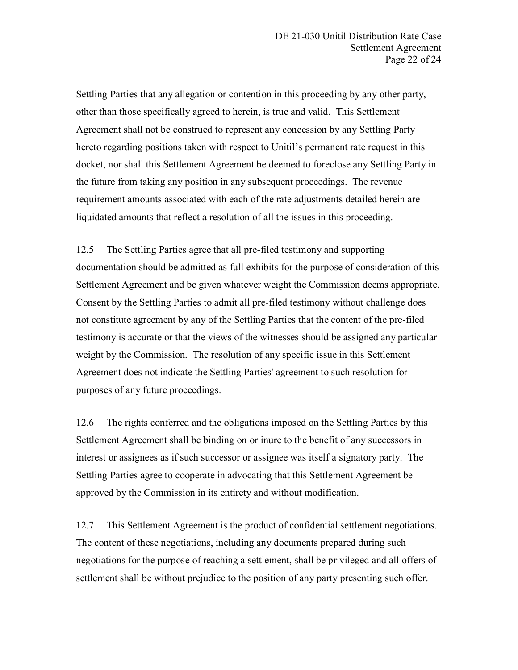Settling Parties that any allegation or contention in this proceeding by any other party, other than those specifically agreed to herein, is true and valid. This Settlement Agreement shall not be construed to represent any concession by any Settling Party hereto regarding positions taken with respect to Unitil's permanent rate request in this docket, nor shall this Settlement Agreement be deemed to foreclose any Settling Party in the future from taking any position in any subsequent proceedings. The revenue requirement amounts associated with each of the rate adjustments detailed herein are liquidated amounts that reflect a resolution of all the issues in this proceeding.

12.5 The Settling Parties agree that all pre-filed testimony and supporting documentation should be admitted as full exhibits for the purpose of consideration of this Settlement Agreement and be given whatever weight the Commission deems appropriate. Consent by the Settling Parties to admit all pre-filed testimony without challenge does not constitute agreement by any of the Settling Parties that the content of the pre-filed testimony is accurate or that the views of the witnesses should be assigned any particular weight by the Commission. The resolution of any specific issue in this Settlement Agreement does not indicate the Settling Parties' agreement to such resolution for purposes of any future proceedings.

12.6 The rights conferred and the obligations imposed on the Settling Parties by this Settlement Agreement shall be binding on or inure to the benefit of any successors in interest or assignees as if such successor or assignee was itself a signatory party. The Settling Parties agree to cooperate in advocating that this Settlement Agreement be approved by the Commission in its entirety and without modification.

12.7 This Settlement Agreement is the product of confidential settlement negotiations. The content of these negotiations, including any documents prepared during such negotiations for the purpose of reaching a settlement, shall be privileged and all offers of settlement shall be without prejudice to the position of any party presenting such offer.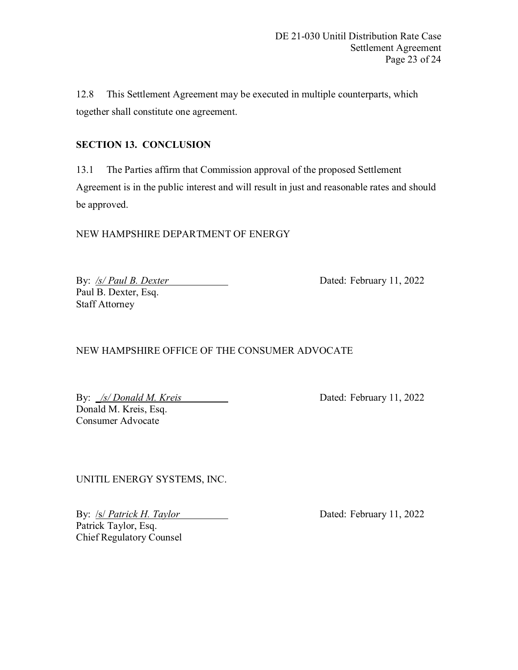12.8 This Settlement Agreement may be executed in multiple counterparts, which together shall constitute one agreement.

## **SECTION 13. CONCLUSION**

13.1 The Parties affirm that Commission approval of the proposed Settlement Agreement is in the public interest and will result in just and reasonable rates and should be approved.

NEW HAMPSHIRE DEPARTMENT OF ENERGY

By: /s/ Paul B. Dexter **Dated: February 11, 2022** Paul B. Dexter, Esq. Staff Attorney

NEW HAMPSHIRE OFFICE OF THE CONSUMER ADVOCATE

By: *<u>/s/ Donald M. Kreis Dated: February 11, 2022</u>* Donald M. Kreis, Esq. Consumer Advocate

UNITIL ENERGY SYSTEMS, INC.

By: */s/ Patrick H. Taylor* Dated: February 11, 2022 Patrick Taylor, Esq. Chief Regulatory Counsel